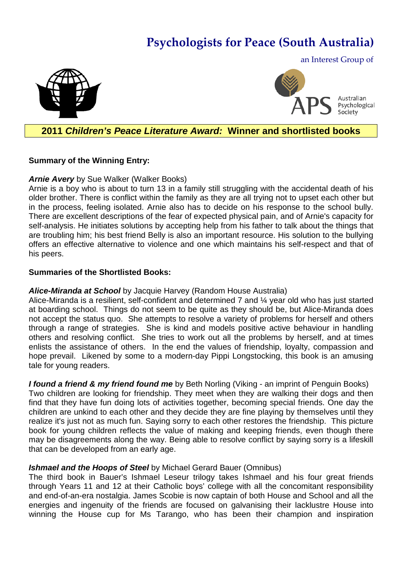# **Psychologists for Peace (South Australia)**





Australian Psychological Society

## **2011** *Children's Peace Literature Award:* **Winner and shortlisted books**

#### **Summary of the Winning Entry:**

#### *Arnie Avery* by Sue Walker (Walker Books)

Arnie is a boy who is about to turn 13 in a family still struggling with the accidental death of his older brother. There is conflict within the family as they are all trying not to upset each other but in the process, feeling isolated. Arnie also has to decide on his response to the school bully. There are excellent descriptions of the fear of expected physical pain, and of Arnie's capacity for self-analysis. He initiates solutions by accepting help from his father to talk about the things that are troubling him; his best friend Belly is also an important resource. His solution to the bullying offers an effective alternative to violence and one which maintains his self-respect and that of his peers.

#### **Summaries of the Shortlisted Books:**

#### *Alice-Miranda at School* by Jacquie Harvey (Random House Australia)

Alice-Miranda is a resilient, self-confident and determined 7 and ¼ year old who has just started at boarding school. Things do not seem to be quite as they should be, but Alice-Miranda does not accept the status quo. She attempts to resolve a variety of problems for herself and others through a range of strategies. She is kind and models positive active behaviour in handling others and resolving conflict. She tries to work out all the problems by herself, and at times enlists the assistance of others. In the end the values of friendship, loyalty, compassion and hope prevail. Likened by some to a modern-day Pippi Longstocking, this book is an amusing tale for young readers.

*I found a friend & my friend found me* by Beth Norling (Viking - an imprint of Penguin Books) Two children are looking for friendship. They meet when they are walking their dogs and then find that they have fun doing lots of activities together, becoming special friends. One day the children are unkind to each other and they decide they are fine playing by themselves until they realize it's just not as much fun. Saying sorry to each other restores the friendship. This picture book for young children reflects the value of making and keeping friends, even though there may be disagreements along the way. Being able to resolve conflict by saying sorry is a lifeskill that can be developed from an early age.

### *Ishmael and the Hoops of Steel* by Michael Gerard Bauer (Omnibus)

The third book in Bauer's Ishmael Leseur trilogy takes Ishmael and his four great friends through Years 11 and 12 at their Catholic boys' college with all the concomitant responsibility and end-of-an-era nostalgia. James Scobie is now captain of both House and School and all the energies and ingenuity of the friends are focused on galvanising their lacklustre House into winning the House cup for Ms Tarango, who has been their champion and inspiration